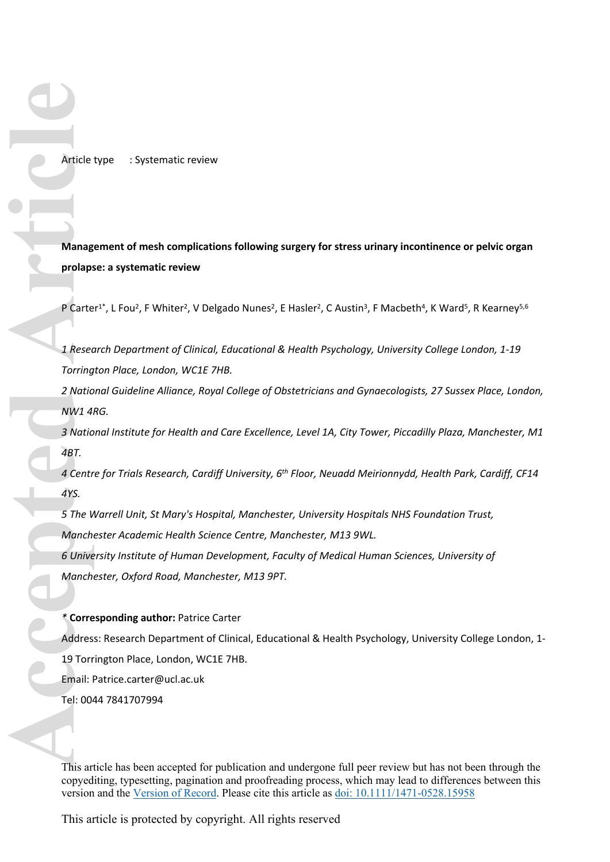Article type : Systematic review

**Management of mesh complications following surgery for stress urinary incontinence or pelvic organ prolapse: a systematic review**

P Carter<sup>1\*</sup>, L Fou<sup>2</sup>, F Whiter<sup>2</sup>, V Delgado Nunes<sup>2</sup>, E Hasler<sup>2</sup>, C Austin<sup>3</sup>, F Macbeth<sup>4</sup>, K Ward<sup>5</sup>, R Kearney<sup>5,6</sup>

*1 Research Department of Clinical, Educational & Health Psychology, University College London, 1-19 Torrington Place, London, WC1E 7HB.*

*2 National Guideline Alliance, Royal College of Obstetricians and Gynaecologists, 27 Sussex Place, London, NW1 4RG.*

*3 National Institute for Health and Care Excellence, Level 1A, City Tower, Piccadilly Plaza, Manchester, M1 4BT.*

*4 Centre for Trials Research, Cardiff University, 6th Floor, Neuadd Meirionnydd, Health Park, Cardiff, CF14 4YS.*

*5 The Warrell Unit, St Mary's Hospital, Manchester, University Hospitals NHS Foundation Trust, Manchester Academic Health Science Centre, Manchester, M13 9WL.*

*6 University Institute of Human Development, Faculty of Medical Human Sciences, University of Manchester, Oxford Road, Manchester, M13 9PT.*

### *\** **Corresponding author:** Patrice Carter

Address: Research Department of Clinical, Educational & Health Psychology, University College London, 1- 19 Torrington Place, London, WC1E 7HB. Email: [Patrice.carter@ucl.ac.uk](mailto:Patrice.carter@ucl.ac.uk) Article type : System<br>
Management of mesh<br>
prolapse: a systematic<br>
P Carter<sup>1\*</sup>, L Fou<sup>2</sup>, F W<br>
1 Research Departmer<br>
Torrington Place, Lona<br>
2 National Guideline A<br>
MW1 4RG.<br>
3 National Institute for<br>
4BT.<br>
4 Centre for T

This article has been accepted for publication and undergone full peer review but has not been through the copyediting, typesetting, pagination and proofreading process, which may lead to differences between this version and the [Version of Record](https://doi.org/10.1111/1471-0528.15958). Please cite this article as [doi: 10.1111/1471-0528.15958](https://doi.org/10.1111/1471-0528.15958)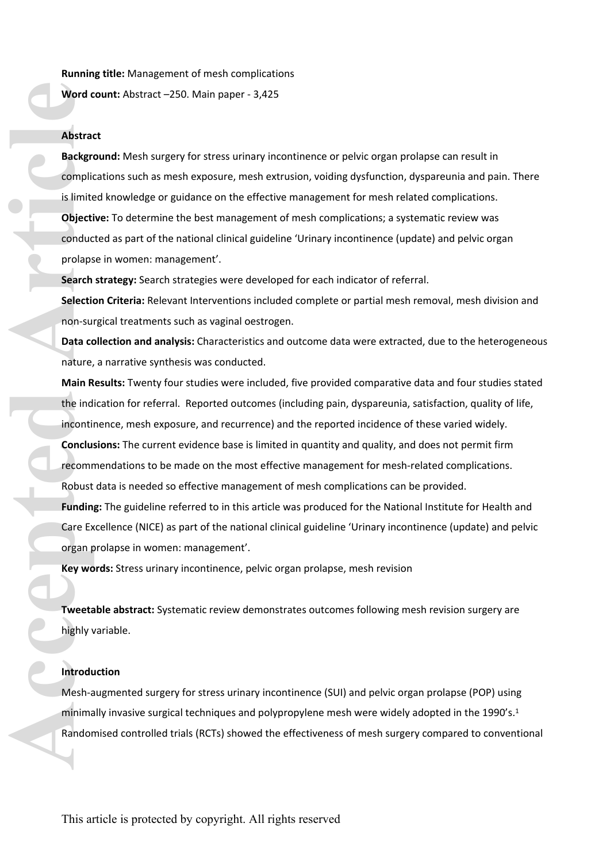**Running title:** Management of mesh complications

**Word count:** Abstract –250. Main paper - 3,425

#### **Abstract**

**Background:** Mesh surgery for stress urinary incontinence or pelvic organ prolapse can result in complications such as mesh exposure, mesh extrusion, voiding dysfunction, dyspareunia and pain. There is limited knowledge or guidance on the effective management for mesh related complications. **Objective:** To determine the best management of mesh complications; a systematic review was conducted as part of the national clinical guideline 'Urinary incontinence (update) and pelvic organ prolapse in women: management'.

**Search strategy:** Search strategies were developed for each indicator of referral.

**Selection Criteria:** Relevant Interventions included complete or partial mesh removal, mesh division and non-surgical treatments such as vaginal oestrogen.

**Data collection and analysis:** Characteristics and outcome data were extracted, due to the heterogeneous nature, a narrative synthesis was conducted.

**Main Results:** Twenty four studies were included, five provided comparative data and four studies stated the indication for referral. Reported outcomes (including pain, dyspareunia, satisfaction, quality of life, incontinence, mesh exposure, and recurrence) and the reported incidence of these varied widely. **Conclusions:** The current evidence base is limited in quantity and quality, and does not permit firm recommendations to be made on the most effective management for mesh-related complications. Robust data is needed so effective management of mesh complications can be provided. Word count: Abstract –250. Main paper - 3,425<br>
Abstract<br>
Background: Mesh surgery for stress urinary incontinence or<br>
complications such as mesh exposure, mesh extrusion, voiding<br>
is limited knowledge or guidance on the ef

**Funding:** The guideline referred to in this article was produced for the National Institute for Health and Care Excellence (NICE) as part of the national clinical guideline 'Urinary incontinence (update) and pelvic organ prolapse in women: management'.

**Key words:** Stress urinary incontinence, pelvic organ prolapse, mesh revision

**Tweetable abstract:** Systematic review demonstrates outcomes following mesh revision surgery are highly variable.

## **Introduction**

Mesh-augmented surgery for stress urinary incontinence (SUI) and pelvic organ prolapse (POP) using minimally invasive surgical techniques and polypropylene mesh were widely adopted in the 1990's.<sup>1</sup> Randomised controlled trials (RCTs) showed the effectiveness of mesh surgery compared to conventional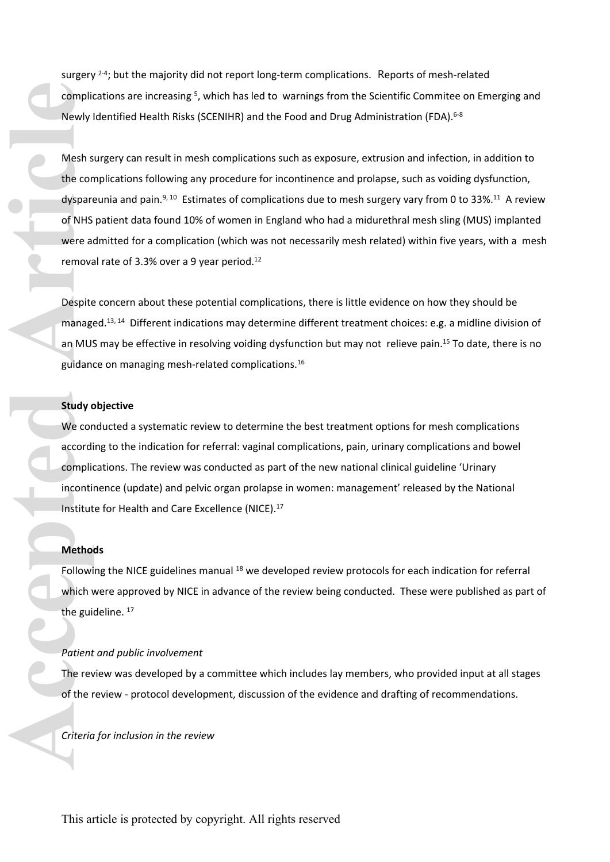surgery  $2-4$ ; but the majority did not report long-term complications. Reports of mesh-related complications are increasing<sup>5</sup>, which has led to warnings from the Scientific Commitee on Emerging and Newly Identified Health Risks (SCENIHR) and the Food and Drug Administration (FDA).<sup>6-8</sup>

Mesh surgery can result in mesh complications such as exposure, extrusion and infection, in addition to the complications following any procedure for incontinence and prolapse, such as voiding dysfunction, dyspareunia and pain.<sup>9, 10</sup> Estimates of complications due to mesh surgery vary from 0 to 33%.<sup>11</sup> A review of NHS patient data found 10% of women in England who had a midurethral mesh sling (MUS) implanted were admitted for a complication (which was not necessarily mesh related) within five years, with a mesh removal rate of 3.3% over a 9 year period.<sup>12</sup> complications are increasing <sup>5</sup>, which<br>
Newly Identified Health Risks (SCI<br>
Mesh surgery can result in mesh<br>
the complications following any p<br>
dyspareunia and pain.<sup>9, 10</sup> Estimat<br>
of NHS patient data found 10% of<br>
were

Despite concern about these potential complications, there is little evidence on how they should be managed.13, 14 Different indications may determine different treatment choices: e.g. a midline division of an MUS may be effective in resolving voiding dysfunction but may not relieve pain.<sup>15</sup> To date, there is no guidance on managing mesh-related complications.<sup>16</sup>

## **Study objective**

We conducted a systematic review to determine the best treatment options for mesh complications according to the indication for referral: vaginal complications, pain, urinary complications and bowel complications. The review was conducted as part of the new national clinical guideline 'Urinary incontinence (update) and pelvic organ prolapse in women: management' released by the National Institute for Health and Care Excellence (NICE).<sup>17</sup>

### **Methods**

Following the NICE guidelines manual <sup>18</sup> we developed review protocols for each indication for referral which were approved by NICE in advance of the review being conducted. These were published as part of the guideline.  $17$ 

#### *Patient and public involvement*

The review was developed by a committee which includes lay members, who provided input at all stages of the review - protocol development, discussion of the evidence and drafting of recommendations.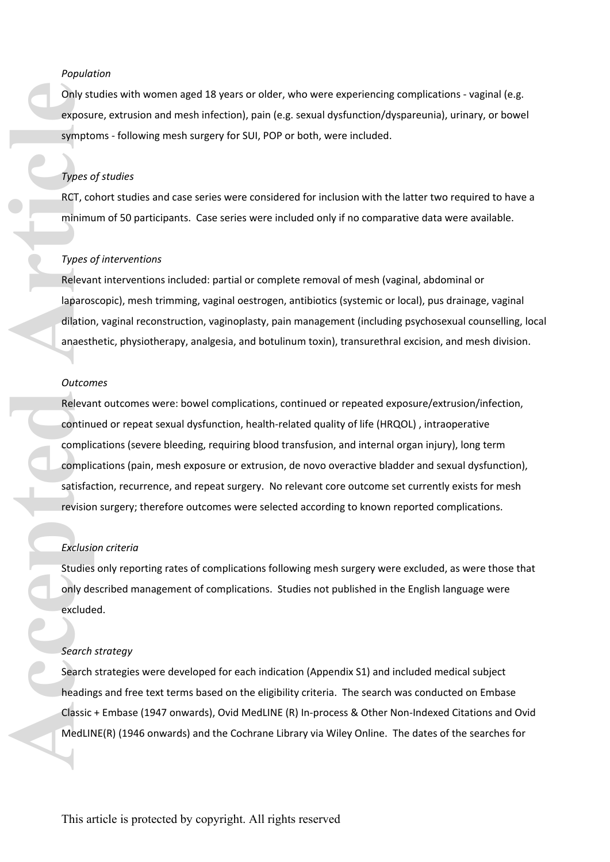# *Population*

Only studies with women aged 18 years or older, who were experiencing complications - vaginal (e.g. exposure, extrusion and mesh infection), pain (e.g. sexual dysfunction/dyspareunia), urinary, or bowel symptoms - following mesh surgery for SUI, POP or both, were included.

### *Types of studies*

RCT, cohort studies and case series were considered for inclusion with the latter two required to have a minimum of 50 participants. Case series were included only if no comparative data were available.

#### *Types of interventions*

Relevant interventions included: partial or complete removal of mesh (vaginal, abdominal or laparoscopic), mesh trimming, vaginal oestrogen, antibiotics (systemic or local), pus drainage, vaginal dilation, vaginal reconstruction, vaginoplasty, pain management (including psychosexual counselling, local anaesthetic, physiotherapy, analgesia, and botulinum toxin), transurethral excision, and mesh division.

#### *Outcomes*

Relevant outcomes were: bowel complications, continued or repeated exposure/extrusion/infection, continued or repeat sexual dysfunction, health-related quality of life (HRQOL) , intraoperative complications (severe bleeding, requiring blood transfusion, and internal organ injury), long term complications (pain, mesh exposure or extrusion, de novo overactive bladder and sexual dysfunction), satisfaction, recurrence, and repeat surgery. No relevant core outcome set currently exists for mesh revision surgery; therefore outcomes were selected according to known reported complications. Only studies with women aged 18 years or older, who were exerpance, extrusion and mesh infection), pain (e.g. sexual dysformations -following mesh surgery for SUI, POP or both, were exposure, extrusion and mesh infection),

### *Exclusion criteria*

Studies only reporting rates of complications following mesh surgery were excluded, as were those that only described management of complications. Studies not published in the English language were excluded.

#### *Search strategy*

Search strategies were developed for each indication (Appendix S1) and included medical subject headings and free text terms based on the eligibility criteria. The search was conducted on Embase Classic + Embase (1947 onwards), Ovid MedLINE (R) In-process & Other Non-Indexed Citations and Ovid MedLINE(R) (1946 onwards) and the Cochrane Library via Wiley Online. The dates of the searches for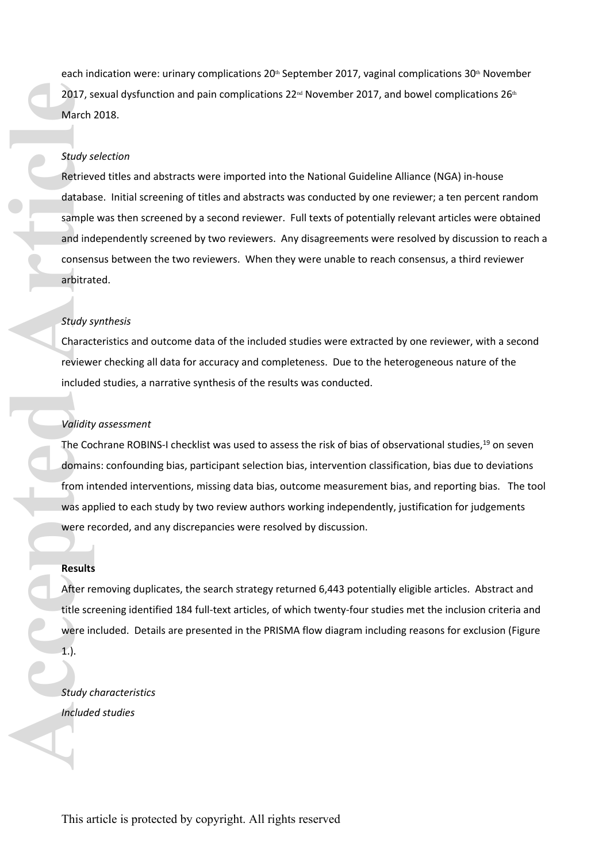each indication were: urinary complications 20<sup>th</sup> September 2017, vaginal complications 30<sup>th</sup> November 2017, sexual dysfunction and pain complications 22<sup>nd</sup> November 2017, and bowel complications 26<sup>th</sup> March 2018.

## *Study selection*

Retrieved titles and abstracts were imported into the National Guideline Alliance (NGA) in-house database. Initial screening of titles and abstracts was conducted by one reviewer; a ten percent random sample was then screened by a second reviewer. Full texts of potentially relevant articles were obtained and independently screened by two reviewers. Any disagreements were resolved by discussion to reach a consensus between the two reviewers. When they were unable to reach consensus, a third reviewer arbitrated. 2017, sexual dys<br>
March 2018.<br> *Study selection*<br>
Retrieved titles<br>
database. Initia<br>
sample was then<br>
and independer<br>
consensus betw<br>
arbitrated.<br> *Study synthesis*<br>
Characteristics are<br>
reviewer checkii<br>
included studies

### *Study synthesis*

Characteristics and outcome data of the included studies were extracted by one reviewer, with a second reviewer checking all data for accuracy and completeness. Due to the heterogeneous nature of the included studies, a narrative synthesis of the results was conducted.

#### *Validity assessment*

The Cochrane ROBINS-I checklist was used to assess the risk of bias of observational studies,<sup>19</sup> on seven domains: confounding bias, participant selection bias, intervention classification, bias due to deviations from intended interventions, missing data bias, outcome measurement bias, and reporting bias. The tool was applied to each study by two review authors working independently, justification for judgements were recorded, and any discrepancies were resolved by discussion.

# **Results**

After removing duplicates, the search strategy returned 6,443 potentially eligible articles. Abstract and title screening identified 184 full-text articles, of which twenty-four studies met the inclusion criteria and were included. Details are presented in the PRISMA flow diagram including reasons for exclusion (Figure 1.).

*Study characteristics* Included studies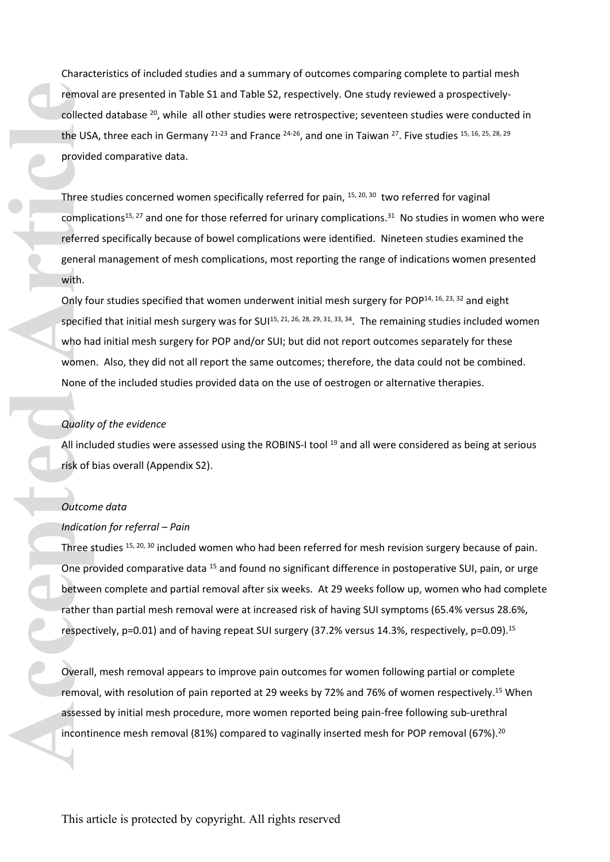Characteristics of included studies and a summary of outcomes comparing complete to partial mesh removal are presented in Table S1 and Table S2, respectively. One study reviewed a prospectivelycollected database <sup>20</sup>, while all other studies were retrospective; seventeen studies were conducted in the USA, three each in Germany  $21-23$  and France  $24-26$ , and one in Taiwan  $27$ . Five studies  $15$ , 16, 25, 28, 29 provided comparative data.

Three studies concerned women specifically referred for pain, 15, 20, 30 two referred for vaginal complications<sup>15, 27</sup> and one for those referred for urinary complications.<sup>31</sup> No studies in women who were referred specifically because of bowel complications were identified. Nineteen studies examined the general management of mesh complications, most reporting the range of indications women presented with.

Only four studies specified that women underwent initial mesh surgery for POP<sup>14, 16, 23, 32</sup> and eight specified that initial mesh surgery was for SUI<sup>15, 21, 26, 28, 29, 31, 33, 34</sup>. The remaining studies included women who had initial mesh surgery for POP and/or SUI; but did not report outcomes separately for these women. Also, they did not all report the same outcomes; therefore, the data could not be combined. None of the included studies provided data on the use of oestrogen or alternative therapies. inconduate presentee in Table 51 and Table 52, respectively. One study reviewed a prospectively collected database <sup>2</sup>: while all cohemics turble tosts, where sconfides with the study, the exact in Germany <sup>3243</sup> and Franc

#### *Quality of the evidence*

All included studies were assessed using the ROBINS-I tool <sup>19</sup> and all were considered as being at serious risk of bias overall (Appendix S2).

#### *Outcome data*

### *Indication for referral – Pain*

Three studies <sup>15, 20, 30</sup> included women who had been referred for mesh revision surgery because of pain. One provided comparative data <sup>15</sup> and found no significant difference in postoperative SUI, pain, or urge between complete and partial removal after six weeks. At 29 weeks follow up, women who had complete rather than partial mesh removal were at increased risk of having SUI symptoms (65.4% versus 28.6%, respectively, p=0.01) and of having repeat SUI surgery (37.2% versus 14.3%, respectively, p=0.09).<sup>15</sup>

Overall, mesh removal appears to improve pain outcomes for women following partial or complete removal, with resolution of pain reported at 29 weeks by 72% and 76% of women respectively.<sup>15</sup> When assessed by initial mesh procedure, more women reported being pain-free following sub-urethral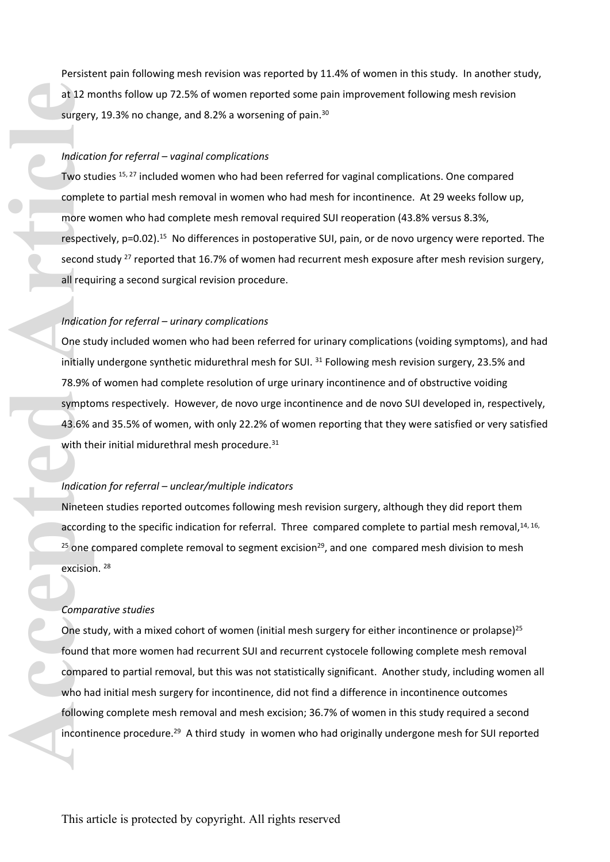Persistent pain following mesh revision was reported by 11.4% of women in this study. In another study, at 12 months follow up 72.5% of women reported some pain improvement following mesh revision surgery, 19.3% no change, and 8.2% a worsening of pain.<sup>30</sup>

### *Indication for referral – vaginal complications*

Two studies <sup>15, 27</sup> included women who had been referred for vaginal complications. One compared complete to partial mesh removal in women who had mesh for incontinence. At 29 weeks follow up, more women who had complete mesh removal required SUI reoperation (43.8% versus 8.3%, respectively, p=0.02).<sup>15</sup> No differences in postoperative SUI, pain, or de novo urgency were reported. The second study <sup>27</sup> reported that 16.7% of women had recurrent mesh exposure after mesh revision surgery, all requiring a second surgical revision procedure.

### *Indication for referral – urinary complications*

One study included women who had been referred for urinary complications (voiding symptoms), and had initially undergone synthetic midurethral mesh for SUI.<sup>31</sup> Following mesh revision surgery, 23.5% and 78.9% of women had complete resolution of urge urinary incontinence and of obstructive voiding symptoms respectively. However, de novo urge incontinence and de novo SUI developed in, respectively, 43.6% and 35.5% of women, with only 22.2% of women reporting that they were satisfied or very satisfied with their initial midurethral mesh procedure.<sup>31</sup>

### *Indication for referral – unclear/multiple indicators*

Nineteen studies reported outcomes following mesh revision surgery, although they did report them according to the specific indication for referral. Three compared complete to partial mesh removal,<sup>14, 16,</sup>  $25$  one compared complete removal to segment excision<sup>29</sup>, and one compared mesh division to mesh excision. <sup>28</sup>

### *Comparative studies*

One study, with a mixed cohort of women (initial mesh surgery for either incontinence or prolapse)<sup>25</sup> found that more women had recurrent SUI and recurrent cystocele following complete mesh removal compared to partial removal, but this was not statistically significant. Another study, including women all who had initial mesh surgery for incontinence, did not find a difference in incontinence outcomes following complete mesh removal and mesh excision; 36.7% of women in this study required a second at 12 months follow up 72<br>surgery, 19.3% no change,<br>*Indication for referral – va*<br>Two studies <sup>15, 27</sup> included<br>complete to partial mesh<br>more women who had con<br>respectively, p=0.02).<sup>15</sup> Ni<br>second study <sup>27</sup> reported t<br>ai incontinence procedure.<sup>29</sup> A third study in women who had originally undergone mesh for SUI reported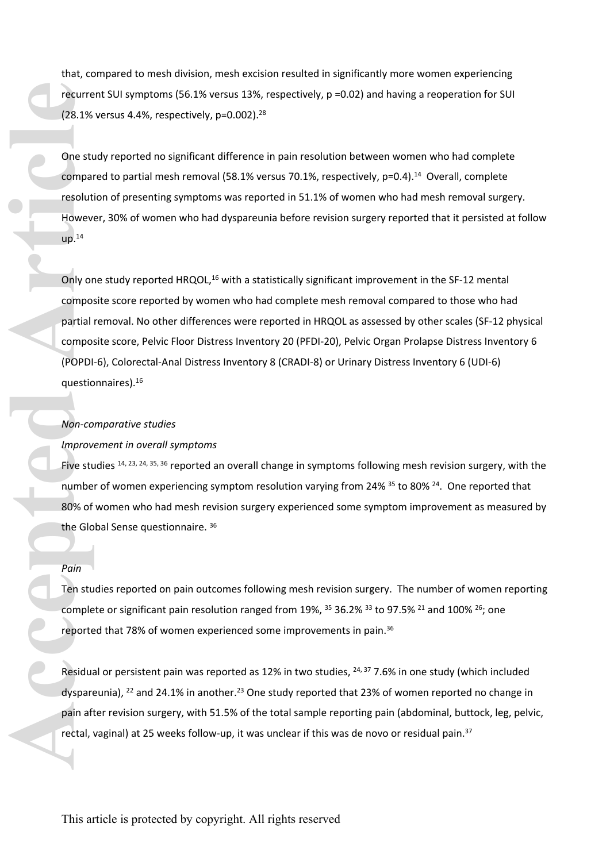that, compared to mesh division, mesh excision resulted in significantly more women experiencing recurrent SUI symptoms (56.1% versus 13%, respectively, p =0.02) and having a reoperation for SUI (28.1% versus 4.4%, respectively, p=0.002).<sup>28</sup>

One study reported no significant difference in pain resolution between women who had complete compared to partial mesh removal (58.1% versus 70.1%, respectively, p=0.4).<sup>14</sup> Overall, complete resolution of presenting symptoms was reported in 51.1% of women who had mesh removal surgery. However, 30% of women who had dyspareunia before revision surgery reported that it persisted at follow  $up.<sup>14</sup>$ 

Only one study reported HRQOL,<sup>16</sup> with a statistically significant improvement in the SF-12 mental composite score reported by women who had complete mesh removal compared to those who had partial removal. No other differences were reported in HRQOL as assessed by other scales (SF-12 physical composite score, Pelvic Floor Distress Inventory 20 (PFDI-20), Pelvic Organ Prolapse Distress Inventory 6 (POPDI-6), Colorectal-Anal Distress Inventory 8 (CRADI-8) or Urinary Distress Inventory 6 (UDI-6) questionnaires).<sup>16</sup> recurrent Stil symptoms (56.1% wersus 13%, respectively, p=0.02) and having a recoperation<br>
(28.1% versus 4.4%, respectively, p=0.002).<sup>18</sup><br>
One study reported no significant difference in pain resolution between women who

## *Non-comparative studies*

### *Improvement in overall symptoms*

Five studies  $^{14, 23, 24, 35, 36}$  reported an overall change in symptoms following mesh revision surgery, with the number of women experiencing symptom resolution varying from 24%  $35$  to 80%  $24$ . One reported that 80% of women who had mesh revision surgery experienced some symptom improvement as measured by the Global Sense questionnaire. <sup>36</sup>

### *Pain*

Ten studies reported on pain outcomes following mesh revision surgery. The number of women reporting complete or significant pain resolution ranged from 19%, <sup>35</sup> 36.2% <sup>33</sup> to 97.5% <sup>21</sup> and 100% <sup>26</sup>; one reported that 78% of women experienced some improvements in pain.<sup>36</sup>

Residual or persistent pain was reported as 12% in two studies, <sup>24, 37</sup> 7.6% in one study (which included dyspareunia),  $^{22}$  and 24.1% in another.<sup>23</sup> One study reported that 23% of women reported no change in pain after revision surgery, with 51.5% of the total sample reporting pain (abdominal, buttock, leg, pelvic,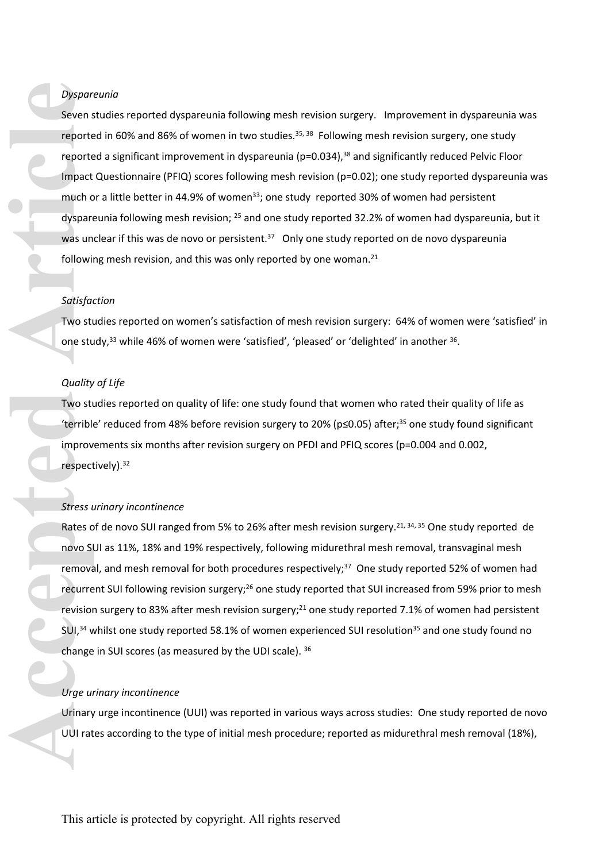# *Dyspareunia*

Seven studies reported dyspareunia following mesh revision surgery. Improvement in dyspareunia was reported in 60% and 86% of women in two studies.<sup>35, 38</sup> Following mesh revision surgery, one study reported a significant improvement in dyspareunia (p=0.034),<sup>38</sup> and significantly reduced Pelvic Floor Impact Questionnaire (PFIQ) scores following mesh revision (p=0.02); one study reported dyspareunia was much or a little better in 44.9% of women<sup>33</sup>; one study reported 30% of women had persistent dyspareunia following mesh revision; <sup>25</sup> and one study reported 32.2% of women had dyspareunia, but it was unclear if this was de novo or persistent.<sup>37</sup> Only one study reported on de novo dyspareunia following mesh revision, and this was only reported by one woman.<sup>21</sup> Dyspareunia<br>
Seven studies reported dyspareunia following mesh revisio<br>
reported in 60% and 86% of women in two studies.<sup>33,38</sup><br>
reported a significant improvement in dyspareunia (p=0.0)<br>
frepact Questionnaire (PFQ) scores

## *Satisfaction*

Two studies reported on women's satisfaction of mesh revision surgery: 64% of women were 'satisfied' in one study,<sup>33</sup> while 46% of women were 'satisfied', 'pleased' or 'delighted' in another  $36$ .

## *Quality of Life*

Two studies reported on quality of life: one study found that women who rated their quality of life as 'terrible' reduced from 48% before revision surgery to 20% ( $p \le 0.05$ ) after;<sup>35</sup> one study found significant improvements six months after revision surgery on PFDI and PFIQ scores (p=0.004 and 0.002, respectively).<sup>32</sup>

## *Stress urinary incontinence*

Rates of de novo SUI ranged from 5% to 26% after mesh revision surgery.<sup>21, 34, 35</sup> One study reported de novo SUI as 11%, 18% and 19% respectively, following midurethral mesh removal, transvaginal mesh removal, and mesh removal for both procedures respectively;<sup>37</sup> One study reported 52% of women had recurrent SUI following revision surgery;<sup>26</sup> one study reported that SUI increased from 59% prior to mesh revision surgery to 83% after mesh revision surgery;<sup>21</sup> one study reported 7.1% of women had persistent  $SU<sub>1</sub><sup>34</sup>$  whilst one study reported 58.1% of women experienced SUI resolution<sup>35</sup> and one study found no change in SUI scores (as measured by the UDI scale). <sup>36</sup>

### *Urge urinary incontinence*

Urinary urge incontinence (UUI) was reported in various ways across studies: One study reported de novo UUI rates according to the type of initial mesh procedure; reported as midurethral mesh removal (18%),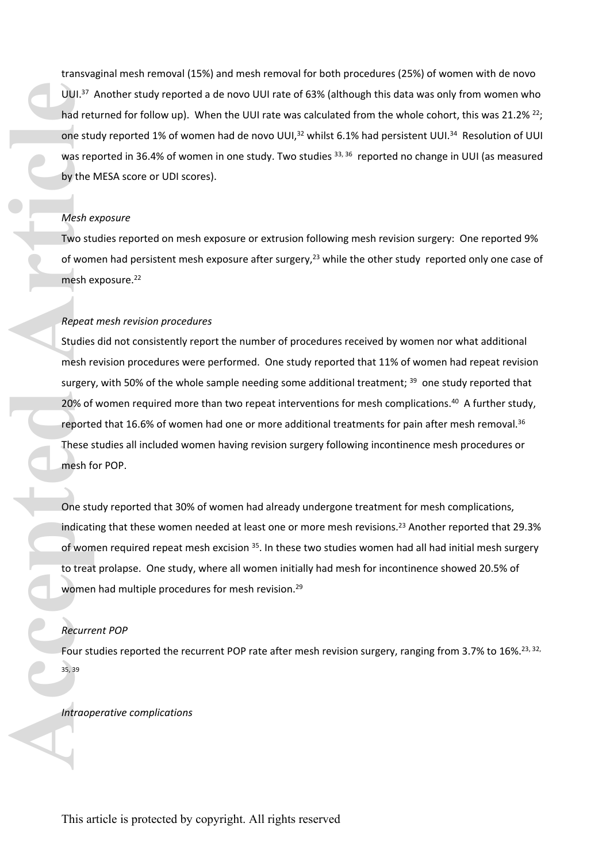transvaginal mesh removal (15%) and mesh removal for both procedures (25%) of women with de novo UUI.<sup>37</sup> Another study reported a de novo UUI rate of 63% (although this data was only from women who had returned for follow up). When the UUI rate was calculated from the whole cohort, this was 21.2% <sup>22</sup>; one study reported 1% of women had de novo UUI,<sup>32</sup> whilst 6.1% had persistent UUI.<sup>34</sup> Resolution of UUI was reported in 36.4% of women in one study. Two studies 33, 36 reported no change in UUI (as measured by the MESA score or UDI scores).

## *Mesh exposure*

Two studies reported on mesh exposure or extrusion following mesh revision surgery: One reported 9% of women had persistent mesh exposure after surgery,<sup>23</sup> while the other study reported only one case of mesh exposure.<sup>22</sup>

### *Repeat mesh revision procedures*

Studies did not consistently report the number of procedures received by women nor what additional mesh revision procedures were performed. One study reported that 11% of women had repeat revision surgery, with 50% of the whole sample needing some additional treatment; <sup>39</sup> one study reported that 20% of women required more than two repeat interventions for mesh complications.<sup>40</sup> A further study, reported that 16.6% of women had one or more additional treatments for pain after mesh removal.<sup>36</sup> These studies all included women having revision surgery following incontinence mesh procedures or mesh for POP. **IDUI.**<sup>37</sup> Another study report<br>
had returned for follow up).<br>
one study reported 1% of words<br>
was reported in 36.4% of words<br>
by the MESA score or UDI sco<br>
Mesh exposure<br>
Two studies reported on meer<br>
of women had persis

One study reported that 30% of women had already undergone treatment for mesh complications, indicating that these women needed at least one or more mesh revisions.<sup>23</sup> Another reported that 29.3% of women required repeat mesh excision <sup>35</sup>. In these two studies women had all had initial mesh surgery to treat prolapse. One study, where all women initially had mesh for incontinence showed 20.5% of women had multiple procedures for mesh revision.<sup>29</sup>

### *Recurrent POP*

Four studies reported the recurrent POP rate after mesh revision surgery, ranging from 3.7% to 16%.<sup>23, 32,</sup> 35, 39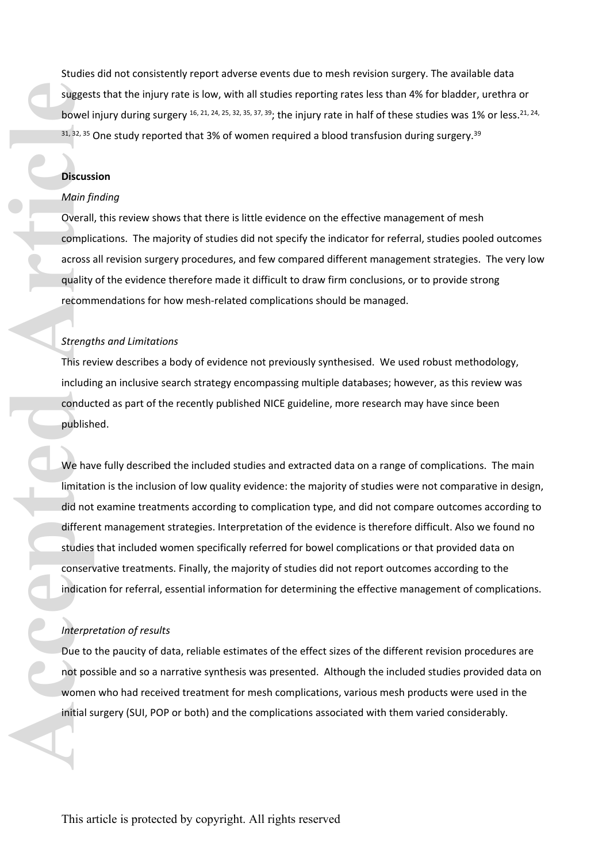Studies did not consistently report adverse events due to mesh revision surgery. The available data suggests that the injury rate is low, with all studies reporting rates less than 4% for bladder, urethra or bowel injury during surgery  $16$ ,  $21$ ,  $24$ ,  $25$ ,  $32$ ,  $35$ ,  $37$ ,  $39$ ; the injury rate in half of these studies was 1% or less.  $21$ ,  $24$ ,  $31, 32, 35$  One study reported that 3% of women required a blood transfusion during surgery.<sup>39</sup>

### **Discussion**

#### *Main finding*

Overall, this review shows that there is little evidence on the effective management of mesh complications. The majority of studies did not specify the indicator for referral, studies pooled outcomes across all revision surgery procedures, and few compared different management strategies. The very low quality of the evidence therefore made it difficult to draw firm conclusions, or to provide strong recommendations for how mesh-related complications should be managed.

## *Strengths and Limitations*

This review describes a body of evidence not previously synthesised. We used robust methodology, including an inclusive search strategy encompassing multiple databases; however, as this review was conducted as part of the recently published NICE guideline, more research may have since been published.

We have fully described the included studies and extracted data on a range of complications. The main limitation is the inclusion of low quality evidence: the majority of studies were not comparative in design, did not examine treatments according to complication type, and did not compare outcomes according to different management strategies. Interpretation of the evidence is therefore difficult. Also we found no studies that included women specifically referred for bowel complications or that provided data on conservative treatments. Finally, the majority of studies did not report outcomes according to the indication for referral, essential information for determining the effective management of complications. **Examples 1998**<br> **Accepted Articles 31, 32, 35 (Discuss Main fi**<br> **Accepted Articles Articles 1999**<br> **Accepted Articles 1999**<br> **Conserved Articles 1999**<br> **Conserved Articles 1999**<br> **Conserved Articles 2008**<br> **Conserved Art** 

### *Interpretation of results*

Due to the paucity of data, reliable estimates of the effect sizes of the different revision procedures are not possible and so a narrative synthesis was presented. Although the included studies provided data on women who had received treatment for mesh complications, various mesh products were used in the initial surgery (SUI, POP or both) and the complications associated with them varied considerably.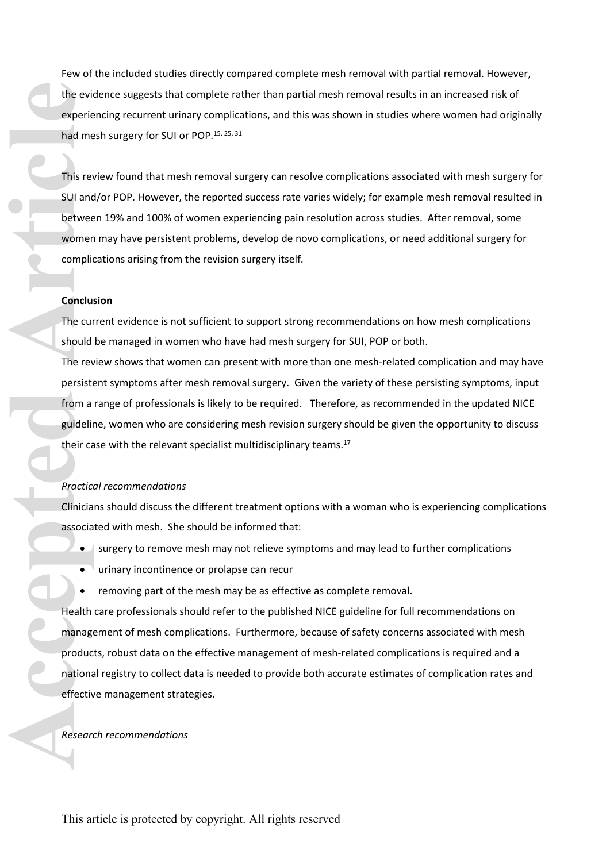Few of the included studies directly compared complete mesh removal with partial removal. However, the evidence suggests that complete rather than partial mesh removal results in an increased risk of experiencing recurrent urinary complications, and this was shown in studies where women had originally had mesh surgery for SUI or POP.<sup>15, 25, 31</sup>

This review found that mesh removal surgery can resolve complications associated with mesh surgery for SUI and/or POP. However, the reported success rate varies widely; for example mesh removal resulted in between 19% and 100% of women experiencing pain resolution across studies. After removal, some women may have persistent problems, develop de novo complications, or need additional surgery for complications arising from the revision surgery itself.

### **Conclusion**

The current evidence is not sufficient to support strong recommendations on how mesh complications should be managed in women who have had mesh surgery for SUI, POP or both.

The review shows that women can present with more than one mesh-related complication and may have persistent symptoms after mesh removal surgery. Given the variety of these persisting symptoms, input from a range of professionals is likely to be required. Therefore, as recommended in the updated NICE guideline, women who are considering mesh revision surgery should be given the opportunity to discuss their case with the relevant specialist multidisciplinary teams.<sup>17</sup>

### *Practical recommendations*

Clinicians should discuss the different treatment options with a woman who is experiencing complications associated with mesh. She should be informed that:

- surgery to remove mesh may not relieve symptoms and may lead to further complications
- **•** urinary incontinence or prolapse can recur
- removing part of the mesh may be as effective as complete removal.

Health care professionals should refer to the published NICE guideline for full recommendations on management of mesh complications. Furthermore, because of safety concerns associated with mesh products, robust data on the effective management of mesh-related complications is required and a national registry to collect data is needed to provide both accurate estimates of complication rates and effective management strategies. *Research redinate and the evidence suggests that experiencing recurrent urin*<br> *Research review found that mess*<br> *Research 29% and 100% of women may have persisten complications arising from t<br> Conclusion<br>
<i>Re* current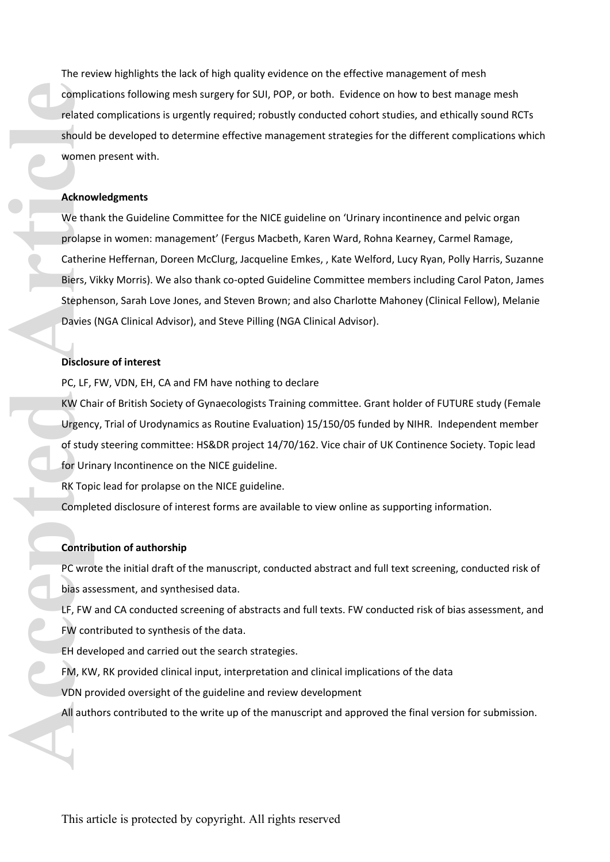The review highlights the lack of high quality evidence on the effective management of mesh complications following mesh surgery for SUI, POP, or both. Evidence on how to best manage mesh related complications is urgently required; robustly conducted cohort studies, and ethically sound RCTs should be developed to determine effective management strategies for the different complications which women present with.

### **Acknowledgments**

We thank the Guideline Committee for the NICE guideline on 'Urinary incontinence and pelvic organ prolapse in women: management' (Fergus Macbeth, Karen Ward, Rohna Kearney, Carmel Ramage, Catherine Heffernan, Doreen McClurg, Jacqueline Emkes, , Kate Welford, Lucy Ryan, Polly Harris, Suzanne Biers, Vikky Morris). We also thank co-opted Guideline Committee members including Carol Paton, James Stephenson, Sarah Love Jones, and Steven Brown; and also Charlotte Mahoney (Clinical Fellow), Melanie Davies (NGA Clinical Advisor), and Steve Pilling (NGA Clinical Advisor). The method of the manner of the manner of the manner of the manuscript and approach the manner of the manner of the manner of the manner of the manner of the manner of the manner of the manner of the manner of the manner o

# **Disclosure of interest**

PC, LF, FW, VDN, EH, CA and FM have nothing to declare

KW Chair of British Society of Gynaecologists Training committee. Grant holder of FUTURE study (Female Urgency, Trial of Urodynamics as Routine Evaluation) 15/150/05 funded by NIHR. Independent member of study steering committee: HS&DR project 14/70/162. Vice chair of UK Continence Society. Topic lead for Urinary Incontinence on the NICE guideline.

RK Topic lead for prolapse on the NICE guideline.

Completed disclosure of interest forms are available to view online as supporting information.

# **Contribution of authorship**

PC wrote the initial draft of the manuscript, conducted abstract and full text screening, conducted risk of bias assessment, and synthesised data.

LF, FW and CA conducted screening of abstracts and full texts. FW conducted risk of bias assessment, and FW contributed to synthesis of the data.

EH developed and carried out the search strategies.

FM, KW, RK provided clinical input, interpretation and clinical implications of the data

VDN provided oversight of the guideline and review development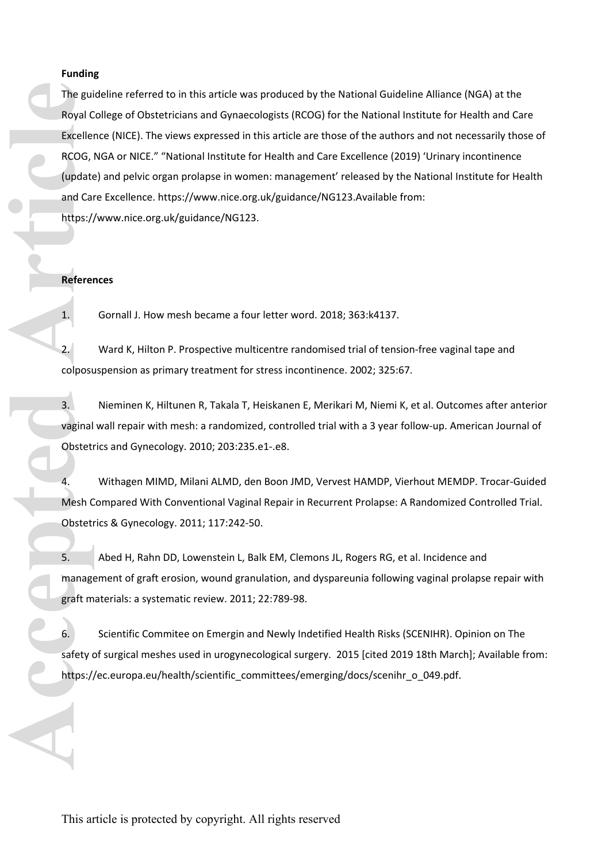# **Funding**

The guideline referred to in this article was produced by the National Guideline Alliance (NGA) at the Royal College of Obstetricians and Gynaecologists (RCOG) for the National Institute for Health and Care Excellence (NICE). The views expressed in this article are those of the authors and not necessarily those of RCOG, NGA or NICE." "National Institute for Health and Care Excellence (2019) 'Urinary incontinence (update) and pelvic organ prolapse in women: management' released by the National Institute for Health and Care Excellence. [https://www.nice.org.uk/guidance/NG123.](https://www.nice.org.uk/guidance/NG123)Available from: <https://www.nice.org.uk/guidance/NG123>. The guideline referred to in this article was produced by the National Guideline Alliance<br>
Royal College of Oststelticals and Gynecologietis (ROG) for the National Institute for<br>
Institute for the authors and one<br>
Institut

### **References**

1. Gornall J. How mesh became a four letter word. 2018; 363:k4137.

2. Ward K, Hilton P. Prospective multicentre randomised trial of tension-free vaginal tape and colposuspension as primary treatment for stress incontinence. 2002; 325:67.

3. Nieminen K, Hiltunen R, Takala T, Heiskanen E, Merikari M, Niemi K, et al. Outcomes after anterior vaginal wall repair with mesh: a randomized, controlled trial with a 3 year follow-up. American Journal of Obstetrics and Gynecology. 2010; 203:235.e1-.e8.

4. Withagen MIMD, Milani ALMD, den Boon JMD, Vervest HAMDP, Vierhout MEMDP. Trocar-Guided Mesh Compared With Conventional Vaginal Repair in Recurrent Prolapse: A Randomized Controlled Trial. Obstetrics & Gynecology. 2011; 117:242-50.

5. Abed H, Rahn DD, Lowenstein L, Balk EM, Clemons JL, Rogers RG, et al. Incidence and management of graft erosion, wound granulation, and dyspareunia following vaginal prolapse repair with graft materials: a systematic review. 2011; 22:789-98.

6. Scientific Commitee on Emergin and Newly Indetified Health Risks (SCENIHR). Opinion on The safety of surgical meshes used in urogynecological surgery. 2015 [cited 2019 18th March]; Available from: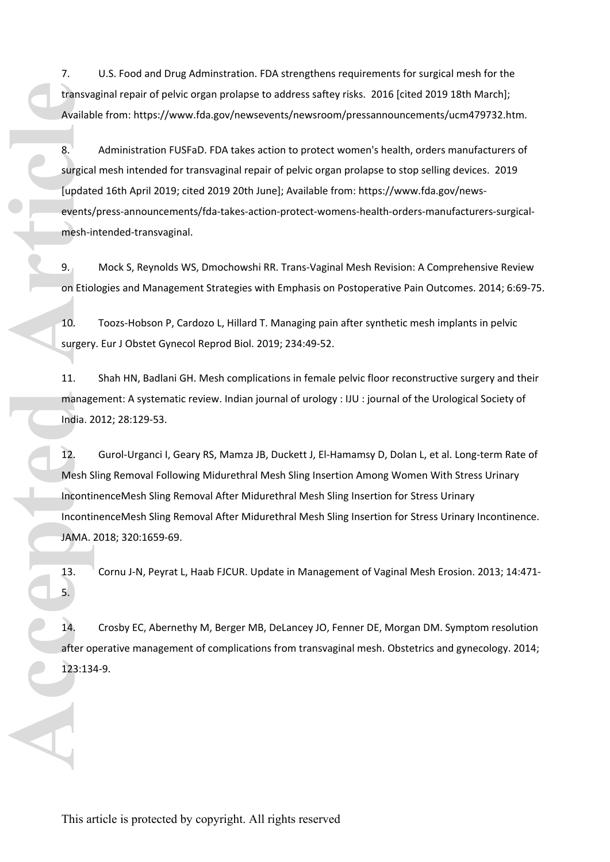7. U.S. Food and Drug Adminstration. FDA strengthens requirements for surgical mesh for the transvaginal repair of pelvic organ prolapse to address saftey risks. 2016 [cited 2019 18th March]; Available from:<https://www.fda.gov/newsevents/newsroom/pressannouncements/ucm479732.htm>.

8. Administration FUSFaD. FDA takes action to protect women's health, orders manufacturers of surgical mesh intended for transvaginal repair of pelvic organ prolapse to stop selling devices. 2019 [updated 16th April 2019; cited 2019 20th June]; Available from: [https://www.fda.gov/news](https://www.fda.gov/news-events/press-announcements/fda-takes-action-protect-womens-health-orders-manufacturers-surgical-mesh-intended-transvaginal)[events/press-announcements/fda-takes-action-protect-womens-health-orders-manufacturers-surgical](https://www.fda.gov/news-events/press-announcements/fda-takes-action-protect-womens-health-orders-manufacturers-surgical-mesh-intended-transvaginal)[mesh-intended-transvaginal.](https://www.fda.gov/news-events/press-announcements/fda-takes-action-protect-womens-health-orders-manufacturers-surgical-mesh-intended-transvaginal) transvagina<br>
Available fi<br> **Example 3.** Ad<br>
surgical me<br>
(updated 1<br>
events/pre<br>
mesh-inter<br>
9. Mc<br>
on Etiologi<br>
10. To<br>
surgery. Et<br>
11. Sh<sub>i</sub> manageme<br>
India. 2012<br>
12. Gu<br>
Mesh Sling<br>
Incontinen<br>
Incontinen<br>
Incontinen<br>

9. Mock S, Reynolds WS, Dmochowshi RR. Trans-Vaginal Mesh Revision: A Comprehensive Review on Etiologies and Management Strategies with Emphasis on Postoperative Pain Outcomes. 2014; 6:69-75.

10. Toozs-Hobson P, Cardozo L, Hillard T. Managing pain after synthetic mesh implants in pelvic surgery. Eur J Obstet Gynecol Reprod Biol. 2019; 234:49-52.

11. Shah HN, Badlani GH. Mesh complications in female pelvic floor reconstructive surgery and their management: A systematic review. Indian journal of urology : IJU : journal of the Urological Society of India. 2012; 28:129-53.

12. Gurol-Urganci I, Geary RS, Mamza JB, Duckett J, El-Hamamsy D, Dolan L, et al. Long-term Rate of Mesh Sling Removal Following Midurethral Mesh Sling Insertion Among Women With Stress Urinary IncontinenceMesh Sling Removal After Midurethral Mesh Sling Insertion for Stress Urinary IncontinenceMesh Sling Removal After Midurethral Mesh Sling Insertion for Stress Urinary Incontinence. JAMA. 2018; 320:1659-69.

13. Cornu J-N, Peyrat L, Haab FJCUR. Update in Management of Vaginal Mesh Erosion. 2013; 14:471- 5.

14. Crosby EC, Abernethy M, Berger MB, DeLancey JO, Fenner DE, Morgan DM. Symptom resolution after operative management of complications from transvaginal mesh. Obstetrics and gynecology. 2014; 123:134-9.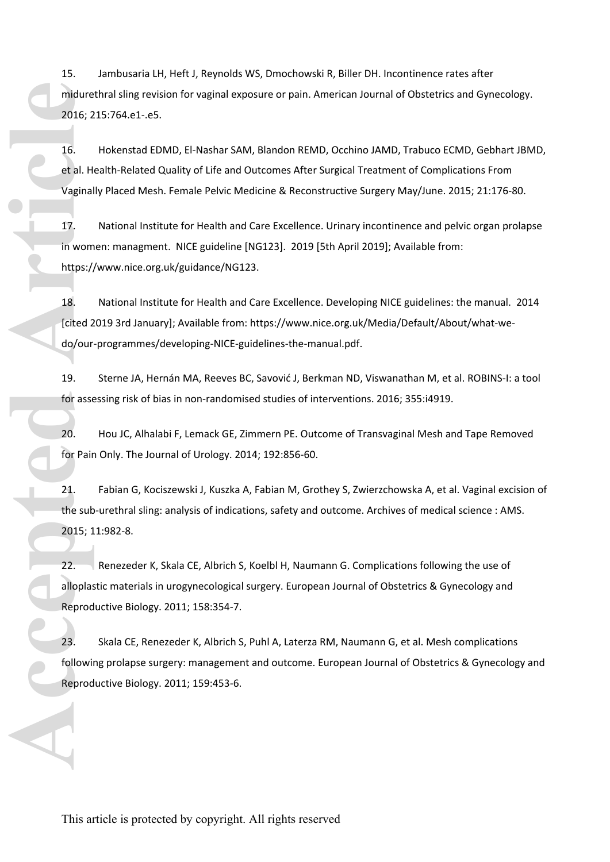15. Jambusaria LH, Heft J, Reynolds WS, Dmochowski R, Biller DH. Incontinence rates after midurethral sling revision for vaginal exposure or pain. American Journal of Obstetrics and Gynecology. 2016; 215:764.e1-.e5.

16. Hokenstad EDMD, El-Nashar SAM, Blandon REMD, Occhino JAMD, Trabuco ECMD, Gebhart JBMD, et al. Health-Related Quality of Life and Outcomes After Surgical Treatment of Complications From Vaginally Placed Mesh. Female Pelvic Medicine & Reconstructive Surgery May/June. 2015; 21:176-80.

17. National Institute for Health and Care Excellence. Urinary incontinence and pelvic organ prolapse in women: managment. NICE guideline [NG123]. 2019 [5th April 2019]; Available from: <https://www.nice.org.uk/guidance/NG123>.

18. National Institute for Health and Care Excellence. Developing NICE guidelines: the manual. 2014 [cited 2019 3rd January]; Available from: [https://www.nice.org.uk/Media/Default/About/what-we](https://www.nice.org.uk/Media/Default/About/what-we-do/our-programmes/developing-NICE-guidelines-the-manual.pdf)[do/our-programmes/developing-NICE-guidelines-the-manual.pdf](https://www.nice.org.uk/Media/Default/About/what-we-do/our-programmes/developing-NICE-guidelines-the-manual.pdf).

19. Sterne JA, Hernán MA, Reeves BC, Savović J, Berkman ND, Viswanathan M, et al. ROBINS-I: a tool for assessing risk of bias in non-randomised studies of interventions. 2016; 355:i4919.

20. Hou JC, Alhalabi F, Lemack GE, Zimmern PE. Outcome of Transvaginal Mesh and Tape Removed for Pain Only. The Journal of Urology. 2014; 192:856-60.

21. Fabian G, Kociszewski J, Kuszka A, Fabian M, Grothey S, Zwierzchowska A, et al. Vaginal excision of the sub-urethral sling: analysis of indications, safety and outcome. Archives of medical science : AMS. 2015; 11:982-8.

22. Renezeder K, Skala CE, Albrich S, Koelbl H, Naumann G. Complications following the use of alloplastic materials in urogynecological surgery. European Journal of Obstetrics & Gynecology and Reproductive Biology. 2011; 158:354-7. midurethral sling revision for vaginal ex<br>
2016; 215:764.e1-e5.<br>
16. Hokenstad EDMD, El-Nashar SA<br>
et al. Health-Related Quality of Life and<br>
Vaginally Placed Mesh. Female Pelvic M<br>
17. National Institute for Health an<br>
in

23. Skala CE, Renezeder K, Albrich S, Puhl A, Laterza RM, Naumann G, et al. Mesh complications following prolapse surgery: management and outcome. European Journal of Obstetrics & Gynecology and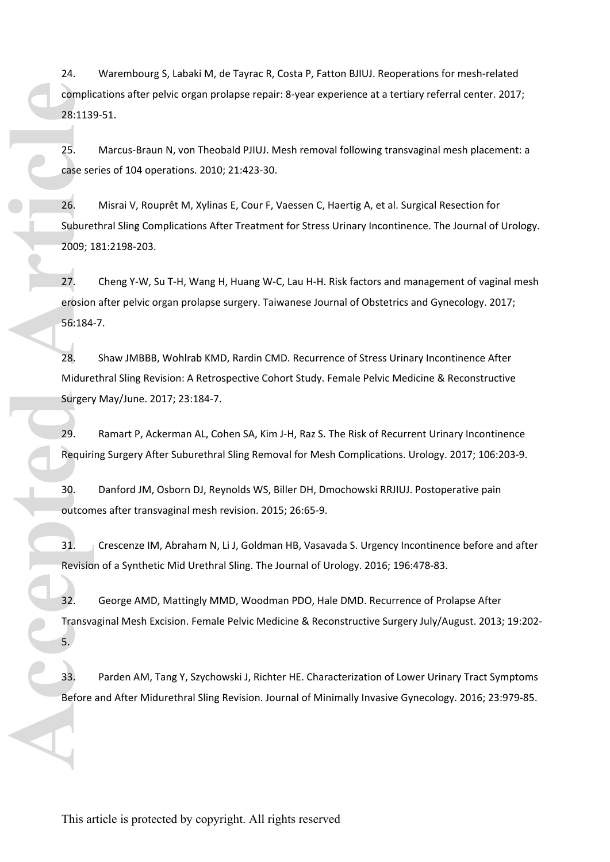24. Warembourg S, Labaki M, de Tayrac R, Costa P, Fatton BJIUJ. Reoperations for mesh-related complications after pelvic organ prolapse repair: 8-year experience at a tertiary referral center. 2017; 28:1139-51.

25. Marcus-Braun N, von Theobald PJIUJ. Mesh removal following transvaginal mesh placement: a case series of 104 operations. 2010; 21:423-30.

26. Misrai V, Rouprêt M, Xylinas E, Cour F, Vaessen C, Haertig A, et al. Surgical Resection for Suburethral Sling Complications After Treatment for Stress Urinary Incontinence. The Journal of Urology. 2009; 181:2198-203. Top plications after probic origin probipus repairs a year experience at a terriary reformal ecriter. 2017;<br>
28:1319-51.<br>
28: Matera VI dia operations: 2010; 21:423:30.<br>
28: Misral V, Roupielt M, Xylinas E, Cour F, Vaessen

27. Cheng Y-W, Su T-H, Wang H, Huang W-C, Lau H-H. Risk factors and management of vaginal mesh erosion after pelvic organ prolapse surgery. Taiwanese Journal of Obstetrics and Gynecology. 2017; 56:184-7.

28. Shaw JMBBB, Wohlrab KMD, Rardin CMD. Recurrence of Stress Urinary Incontinence After Midurethral Sling Revision: A Retrospective Cohort Study. Female Pelvic Medicine & Reconstructive Surgery May/June. 2017; 23:184-7.

29. Ramart P, Ackerman AL, Cohen SA, Kim J-H, Raz S. The Risk of Recurrent Urinary Incontinence Requiring Surgery After Suburethral Sling Removal for Mesh Complications. Urology. 2017; 106:203-9.

30. Danford JM, Osborn DJ, Reynolds WS, Biller DH, Dmochowski RRJIUJ. Postoperative pain outcomes after transvaginal mesh revision. 2015; 26:65-9.

31. Crescenze IM, Abraham N, Li J, Goldman HB, Vasavada S. Urgency Incontinence before and after Revision of a Synthetic Mid Urethral Sling. The Journal of Urology. 2016; 196:478-83.

32. George AMD, Mattingly MMD, Woodman PDO, Hale DMD. Recurrence of Prolapse After Transvaginal Mesh Excision. Female Pelvic Medicine & Reconstructive Surgery July/August. 2013; 19:202- 5.

33. Parden AM, Tang Y, Szychowski J, Richter HE. Characterization of Lower Urinary Tract Symptoms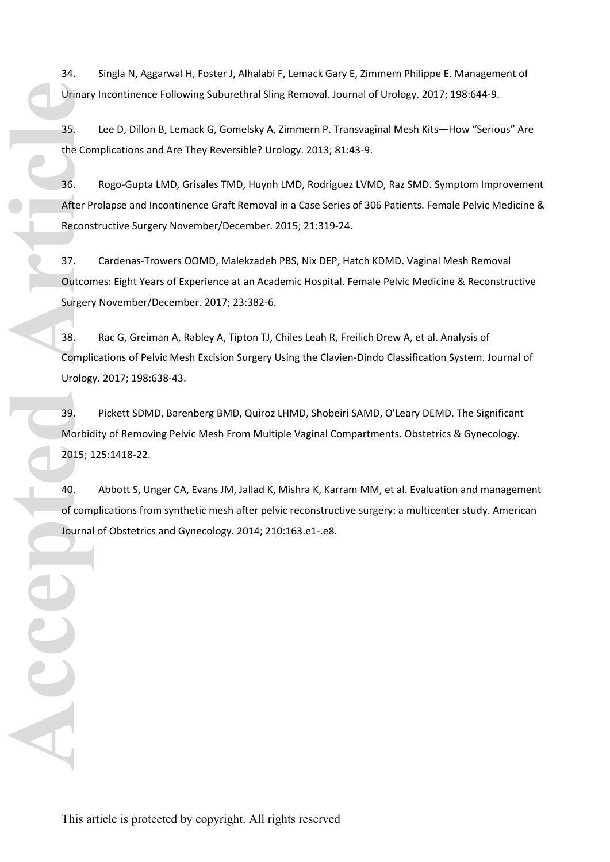34. Singla N, Aggarwal H, Foster J, Alhalabi F, Lemack Gary E, Zimmern Philippe E. Management of Urinary Incontinence Following Suburethral Sling Removal. Journal of Urology. 2017; 198:644-9.

35. Lee D, Dillon B, Lemack G, Gomelsky A, Zimmern P. Transvaginal Mesh Kits—How "Serious" Are the Complications and Are They Reversible? Urology. 2013; 81:43-9.

36. Rogo-Gupta LMD, Grisales TMD, Huynh LMD, Rodriguez LVMD, Raz SMD. Symptom Improvement After Prolapse and Incontinence Graft Removal in a Case Series of 306 Patients. Female Pelvic Medicine & Reconstructive Surgery November/December. 2015; 21:319-24.

37. Cardenas-Trowers OOMD, Malekzadeh PBS, Nix DEP, Hatch KDMD. Vaginal Mesh Removal Outcomes: Eight Years of Experience at an Academic Hospital. Female Pelvic Medicine & Reconstructive Surgery November/December. 2017; 23:382-6.

38. Rac G, Greiman A, Rabley A, Tipton TJ, Chiles Leah R, Freilich Drew A, et al. Analysis of Complications of Pelvic Mesh Excision Surgery Using the Clavien-Dindo Classification System. Journal of Urology. 2017; 198:638-43.

39. Pickett SDMD, Barenberg BMD, Quiroz LHMD, Shobeiri SAMD, O'Leary DEMD. The Significant Morbidity of Removing Pelvic Mesh From Multiple Vaginal Compartments. Obstetrics & Gynecology. 2015; 125:1418-22. Urinary Incontinence Following Suburethral Sling Removal. J<br>35. Lee D, Dillon B, Lemack 6, Gomelsky A, Zimmern P.1<br>The Complications and Are They Reversible? Urology. 2013; 2<br>46. Rogo-Gupta LMD, Grisales TMD, Huryin LMD, R

40. Abbott S, Unger CA, Evans JM, Jallad K, Mishra K, Karram MM, et al. Evaluation and management of complications from synthetic mesh after pelvic reconstructive surgery: a multicenter study. American